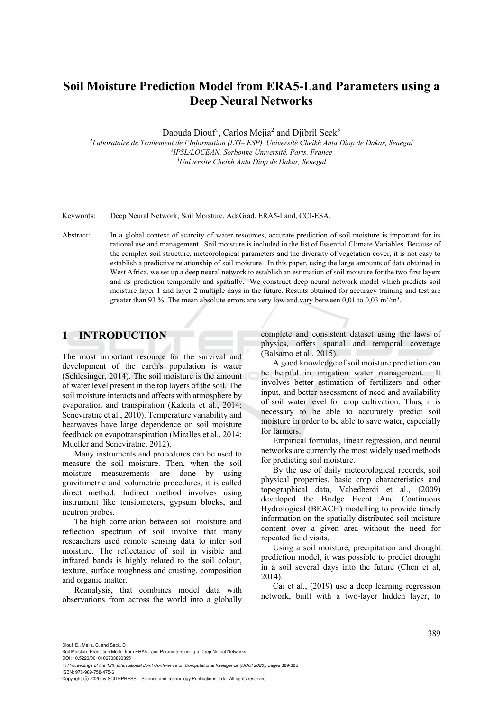# **Soil Moisture Prediction Model from ERA5-Land Parameters using a Deep Neural Networks**

Daouda Diouf<sup>1</sup>, Carlos Mejia<sup>2</sup> and Djibril Seck<sup>3</sup>

<sup>1</sup>Laboratoire de Traitement de l'Information (LTI– ESP), Université Cheikh Anta Diop de Dakar, Senegal<br><sup>2</sup>IPSL/LOCEAN, Sorbonne Université, Paris, France<br><sup>3</sup>Université Cheikh Anta Diop de Dakar, Senegal

Keywords: Deep Neural Network, Soil Moisture, AdaGrad, ERA5-Land, CCI-ESA.

Abstract: In a global context of scarcity of water resources, accurate prediction of soil moisture is important for its rational use and management. Soil moisture is included in the list of Essential Climate Variables. Because of the complex soil structure, meteorological parameters and the diversity of vegetation cover, it is not easy to establish a predictive relationship of soil moisture. In this paper, using the large amounts of data obtained in West Africa, we set up a deep neural network to establish an estimation of soil moisture for the two first layers and its prediction temporally and spatially. We construct deep neural network model which predicts soil moisture layer 1 and layer 2 multiple days in the future. Results obtained for accuracy training and test are greater than 93 %. The mean absolute errors are very low and vary between 0,01 to 0,03 m<sup>3</sup>/m<sup>3</sup>.

## **1 INTRODUCTION**

The most important resource for the survival and development of the earth's population is water (Schlesinger, 2014). The soil moisture is the amount of water level present in the top layers of the soil. The soil moisture interacts and affects with atmosphere by evaporation and transpiration (Kaleita et al., 2014; Seneviratne et al., 2010). Temperature variability and heatwaves have large dependence on soil moisture feedback on evapotranspiration (Miralles et al., 2014; Mueller and Seneviratne, 2012).

Many instruments and procedures can be used to measure the soil moisture. Then, when the soil moisture measurements are done by using gravitimetric and volumetric procedures, it is called direct method. Indirect method involves using instrument like tensiometers, gypsum blocks, and neutron probes.

The high correlation between soil moisture and reflection spectrum of soil involve that many researchers used remote sensing data to infer soil moisture. The reflectance of soil in visible and infrared bands is highly related to the soil colour, texture, surface roughness and crusting, composition and organic matter.

Reanalysis, that combines model data with observations from across the world into a globally complete and consistent dataset using the laws of physics, offers spatial and temporal coverage (Balsamo et al., 2015).

A good knowledge of soil moisture prediction can be helpful in irrigation water management. It involves better estimation of fertilizers and other input, and better assessment of need and availability of soil water level for crop cultivation. Thus, it is necessary to be able to accurately predict soil moisture in order to be able to save water, especially for farmers.

Empirical formulas, linear regression, and neural networks are currently the most widely used methods for predicting soil moisture.

By the use of daily meteorological records, soil physical properties, basic crop characteristics and topographical data, Vahedberdi et al., (2009) developed the Bridge Event And Continuous Hydrological (BEACH) modelling to provide timely information on the spatially distributed soil moisture content over a given area without the need for repeated field visits.

Using a soil moisture, precipitation and drought prediction model, it was possible to predict drought in a soil several days into the future (Chen et al, 2014).

Cai et al., (2019) use a deep learning regression network, built with a two-layer hidden layer, to

Diouf, D., Mejia, C. and Seck, D.

DOI: 10.5220/0010106703890395 In *Proceedings of the 12th International Joint Conference on Computational Intelligence (IJCCI 2020)*, pages 389-395

ISBN: 978-989-758-475-6 Copyright © 2020 by SCITEPRESS - Science and Technology Publications, Lda. All rights reserved

Soil Moisture Prediction Model from ERA5-Land Parameters using a Deep Neural Networks.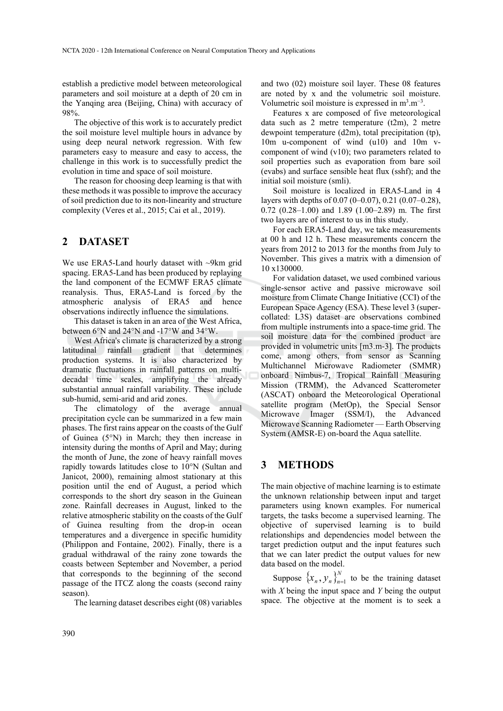establish a predictive model between meteorological parameters and soil moisture at a depth of 20 cm in the Yanqing area (Beijing, China) with accuracy of 98%.

The objective of this work is to accurately predict the soil moisture level multiple hours in advance by using deep neural network regression. With few parameters easy to measure and easy to access, the challenge in this work is to successfully predict the evolution in time and space of soil moisture.

The reason for choosing deep learning is that with these methods it was possible to improve the accuracy of soil prediction due to its non-linearity and structure complexity (Veres et al., 2015; Cai et al., 2019).

## **2 DATASET**

We use ERA5-Land hourly dataset with ~9km grid spacing. ERA5-Land has been produced by replaying the land component of the ECMWF ERA5 climate reanalysis. Thus, ERA5-Land is forced by the atmospheric analysis of ERA5 and hence observations indirectly influence the simulations.

This dataset is taken in an area of the West Africa, between 6°N and 24°N and -17°W and 34°W.

West Africa's climate is characterized by a strong latitudinal rainfall gradient that determines production systems. It is also characterized by dramatic fluctuations in rainfall patterns on multidecadal time scales, amplifying the already substantial annual rainfall variability. These include sub-humid, semi-arid and arid zones.

The climatology of the average annual precipitation cycle can be summarized in a few main phases. The first rains appear on the coasts of the Gulf of Guinea (5°N) in March; they then increase in intensity during the months of April and May; during the month of June, the zone of heavy rainfall moves rapidly towards latitudes close to 10°N (Sultan and Janicot, 2000), remaining almost stationary at this position until the end of August, a period which corresponds to the short dry season in the Guinean zone. Rainfall decreases in August, linked to the relative atmospheric stability on the coasts of the Gulf of Guinea resulting from the drop-in ocean temperatures and a divergence in specific humidity (Philippon and Fontaine, 2002). Finally, there is a gradual withdrawal of the rainy zone towards the coasts between September and November, a period that corresponds to the beginning of the second passage of the ITCZ along the coasts (second rainy season).

The learning dataset describes eight (08) variables

and two (02) moisture soil layer. These 08 features are noted by x and the volumetric soil moisture. Volumetric soil moisture is expressed in  $m^3.m^{-3}$ .

Features x are composed of five meteorological data such as 2 metre temperature (t2m), 2 metre dewpoint temperature (d2m), total precipitation (tp), 10m u-component of wind (u10) and 10m vcomponent of wind (v10); two parameters related to soil properties such as evaporation from bare soil (evabs) and surface sensible heat flux (sshf); and the initial soil moisture (smli).

Soil moisture is localized in ERA5-Land in 4 layers with depths of 0.07 (0–0.07), 0.21 (0.07–0.28), 0.72 (0.28–1.00) and 1.89 (1.00–2.89) m. The first two layers are of interest to us in this study.

For each ERA5-Land day, we take measurements at 00 h and 12 h. These measurements concern the years from 2012 to 2013 for the months from July to November. This gives a matrix with a dimension of 10 x130000.

For validation dataset, we used combined various single-sensor active and passive microwave soil moisture from Climate Change Initiative (CCI) of the European Space Agency (ESA). These level 3 (supercollated: L3S) dataset are observations combined from multiple instruments into a space-time grid. The soil moisture data for the combined product are provided in volumetric units [m3.m-3]. The products come, among others, from sensor as Scanning Multichannel Microwave Radiometer (SMMR) onboard Nimbus-7, Tropical Rainfall Measuring Mission (TRMM), the Advanced Scatterometer (ASCAT) onboard the Meteorological Operational satellite program (MetOp), the Special Sensor Microwave Imager (SSM/I), the Advanced Microwave Scanning Radiometer — Earth Observing System (AMSR-E) on-board the Aqua satellite.

### **3 METHODS**

The main objective of machine learning is to estimate the unknown relationship between input and target parameters using known examples. For numerical targets, the tasks become a supervised learning. The objective of supervised learning is to build relationships and dependencies model between the target prediction output and the input features such that we can later predict the output values for new data based on the model.

Suppose  $\{x_n, y_n\}_{n=1}^N$  to be the training dataset with *X* being the input space and *Y* being the output space. The objective at the moment is to seek a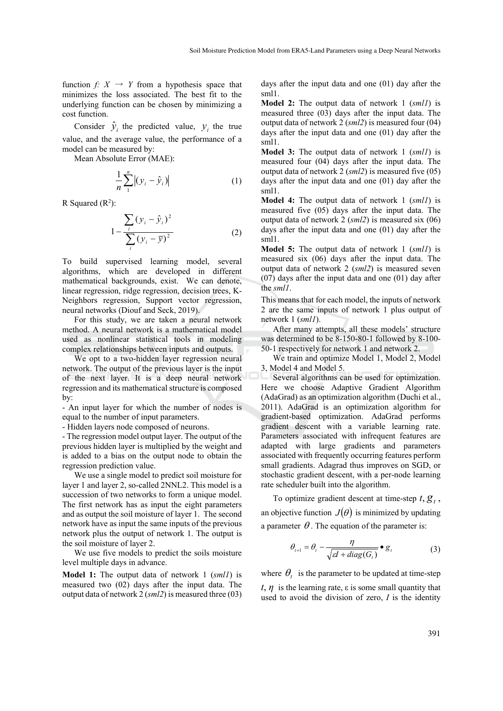function *f:*  $X \rightarrow Y$  from a hypothesis space that minimizes the loss associated. The best fit to the underlying function can be chosen by minimizing a cost function.

Consider  $\hat{y}_i$  the predicted value,  $y_i$  the true value, and the average value, the performance of a model can be measured by:

Mean Absolute Error (MAE):

$$
\frac{1}{n}\sum_{i}^{n}\left|(\mathbf{y}_{i}-\hat{\mathbf{y}}_{i})\right|
$$
 (1)

R Squared  $(R^2)$ :

$$
1 - \frac{\sum_{i} (y_i - \hat{y}_i)^2}{\sum_{i} (y_i - \bar{y})^2}
$$
 (2)

To build supervised learning model, several algorithms, which are developed in different mathematical backgrounds, exist. We can denote, linear regression, ridge regression, decision trees, K-Neighbors regression, Support vector regression, neural networks (Diouf and Seck, 2019).

For this study, we are taken a neural network method. A neural network is a mathematical model used as nonlinear statistical tools in modeling complex relationships between inputs and outputs.

We opt to a two-hidden layer regression neural network. The output of the previous layer is the input of the next layer. It is a deep neural network regression and its mathematical structure is composed by:

- An input layer for which the number of nodes is equal to the number of input parameters.

- Hidden layers node composed of neurons.

- The regression model output layer. The output of the previous hidden layer is multiplied by the weight and is added to a bias on the output node to obtain the regression prediction value.

We use a single model to predict soil moisture for layer 1 and layer 2, so-called 2NNL2. This model is a succession of two networks to form a unique model. The first network has as input the eight parameters and as output the soil moisture of layer 1. The second network have as input the same inputs of the previous network plus the output of network 1. The output is the soil moisture of layer 2.

We use five models to predict the soils moisture level multiple days in advance.

**Model 1:** The output data of network 1 (*sml1*) is measured two (02) days after the input data. The output data of network 2 (*sml2*) is measured three (03) days after the input data and one (01) day after the sml1.

**Model 2:** The output data of network 1 (*sml1*) is measured three (03) days after the input data. The output data of network 2 (*sml2*) is measured four (04) days after the input data and one (01) day after the sml1.

**Model 3:** The output data of network 1 (*sml1*) is measured four (04) days after the input data. The output data of network 2 (*sml2*) is measured five (05) days after the input data and one (01) day after the sml1.

**Model 4:** The output data of network 1 (*sml1*) is measured five (05) days after the input data. The output data of network 2 (*sml2*) is measured six (06) days after the input data and one (01) day after the sml1.

**Model 5:** The output data of network 1 (*sml1*) is measured six (06) days after the input data. The output data of network 2 (*sml2*) is measured seven (07) days after the input data and one (01) day after the *sml1*.

This means that for each model, the inputs of network 2 are the same inputs of network 1 plus output of network 1 (*sml1*).

After many attempts, all these models' structure was determined to be 8-150-80-1 followed by 8-100- 50-1 respectively for network 1 and network 2.

We train and optimize Model 1, Model 2, Model 3, Model 4 and Model 5.

Several algorithms can be used for optimization. Here we choose Adaptive Gradient Algorithm (AdaGrad) as an optimization algorithm (Duchi et al., 2011). AdaGrad is an optimization algorithm for gradient-based optimization. AdaGrad performs gradient descent with a variable learning rate. Parameters associated with infrequent features are adapted with large gradients and parameters associated with frequently occurring features perform small gradients. Adagrad thus improves on SGD, or stochastic gradient descent, with a per-node learning rate scheduler built into the algorithm.

To optimize gradient descent at time-step  $t, g_t$ , an objective function  $J(\theta)$  is minimized by updating a parameter  $\theta$ . The equation of the parameter is:

$$
\theta_{t+1} = \theta_t - \frac{\eta}{\sqrt{\varepsilon t + diag(G_t)}} \bullet g_t \tag{3}
$$

where  $\theta_t$  is the parameter to be updated at time-step  $t, \eta$  is the learning rate,  $\varepsilon$  is some small quantity that used to avoid the division of zero, *I* is the identity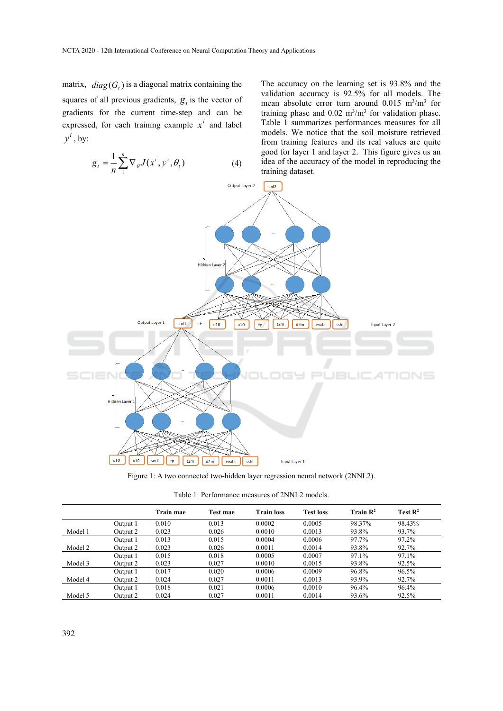matrix,  $diag(G_t)$  is a diagonal matrix containing the squares of all previous gradients,  $g_t$  is the vector of gradients for the current time-step and can be expressed, for each training example  $x^i$  and label  $y^i$ , by:

$$
g_t = \frac{1}{n} \sum_{i=1}^{n} \nabla_{\theta} J(x^i, y^i, \theta_t)
$$
 (4)

The accuracy on the learning set is 93.8% and the validation accuracy is 92.5% for all models. The mean absolute error turn around  $0.015 \text{ m}^3/\text{m}^3$  for training phase and  $0.02 \text{ m}^3/\text{m}^3$  for validation phase. Table 1 summarizes performances measures for all models. We notice that the soil moisture retrieved from training features and its real values are quite good for layer 1 and layer 2. This figure gives us an idea of the accuracy of the model in reproducing the training dataset.



Figure 1: A two connected two-hidden layer regression neural network (2NNL2).

| Table 1: Performance measures of 2NNL2 models. |  |  |
|------------------------------------------------|--|--|
|------------------------------------------------|--|--|

|         |          | Train mae | Test mae | <b>Train loss</b> | <b>Test loss</b> | Train $\mathbb{R}^2$ | Test $\mathbf{R}^2$ |
|---------|----------|-----------|----------|-------------------|------------------|----------------------|---------------------|
|         | Output 1 | 0.010     | 0.013    | 0.0002            | 0.0005           | 98.37%               | 98.43%              |
| Model 1 | Output 2 | 0.023     | 0.026    | 0.0010            | 0.0013           | 93.8%                | 93.7%               |
|         | Output 1 | 0.013     | 0.015    | 0.0004            | 0.0006           | 97.7%                | 97.2%               |
| Model 2 | Output 2 | 0.023     | 0.026    | 0.0011            | 0.0014           | 93.8%                | 92.7%               |
|         | Output 1 | 0.015     | 0.018    | 0.0005            | 0.0007           | 97.1%                | 97.1%               |
| Model 3 | Output 2 | 0.023     | 0.027    | 0.0010            | 0.0015           | 93.8%                | 92.5%               |
|         | Output 1 | 0.017     | 0.020    | 0.0006            | 0.0009           | 96.8%                | 96.5%               |
| Model 4 | Output 2 | 0.024     | 0.027    | 0.0011            | 0.0013           | 93.9%                | 92.7%               |
|         | Output 1 | 0.018     | 0.021    | 0.0006            | 0.0010           | 96.4%                | 96.4%               |
| Model 5 | Output 2 | 0.024     | 0.027    | 0.0011            | 0.0014           | 93.6%                | 92.5%               |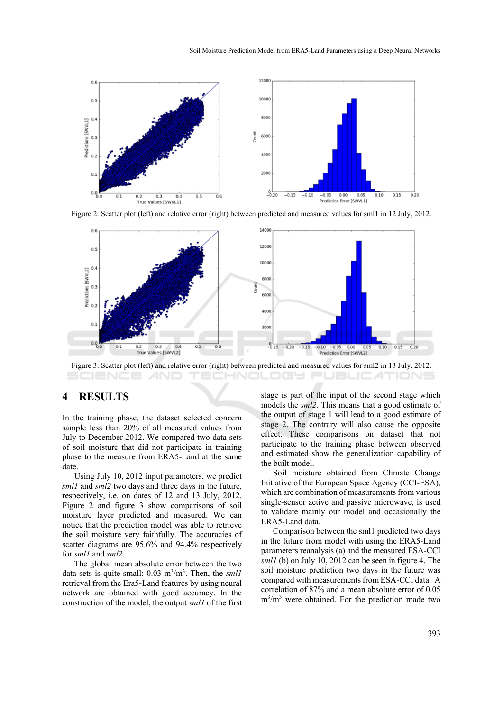

Figure 2: Scatter plot (left) and relative error (right) between predicted and measured values for sml1 in 12 July, 2012.



Figure 3: Scatter plot (left) and relative error (right) between predicted and measured values for sml2 in 13 July, 2012.

#### **4 RESULTS**

In the training phase, the dataset selected concern sample less than 20% of all measured values from July to December 2012. We compared two data sets of soil moisture that did not participate in training phase to the measure from ERA5-Land at the same date.

Using July 10, 2012 input parameters, we predict *sml1* and *sml2* two days and three days in the future, respectively, i.e. on dates of 12 and 13 July, 2012. Figure 2 and figure 3 show comparisons of soil moisture layer predicted and measured. We can notice that the prediction model was able to retrieve the soil moisture very faithfully. The accuracies of scatter diagrams are 95.6% and 94.4% respectively for *sml1* and *sml2*.

The global mean absolute error between the two data sets is quite small:  $0.03 \text{ m}^3/\text{m}^3$ . Then, the *smll* retrieval from the Era5-Land features by using neural network are obtained with good accuracy. In the construction of the model, the output *sml1* of the first

stage is part of the input of the second stage which models the *sml2*. This means that a good estimate of the output of stage 1 will lead to a good estimate of stage 2. The contrary will also cause the opposite effect. These comparisons on dataset that not participate to the training phase between observed and estimated show the generalization capability of the built model.

Soil moisture obtained from Climate Change Initiative of the European Space Agency (CCI-ESA), which are combination of measurements from various single-sensor active and passive microwave, is used to validate mainly our model and occasionally the ERA5-Land data.

Comparison between the sml1 predicted two days in the future from model with using the ERA5-Land parameters reanalysis (a) and the measured ESA-CCI *sml1* (b) on July 10, 2012 can be seen in figure 4. The soil moisture prediction two days in the future was compared with measurements from ESA-CCI data. A correlation of 87% and a mean absolute error of 0.05 m3 /m3 were obtained. For the prediction made two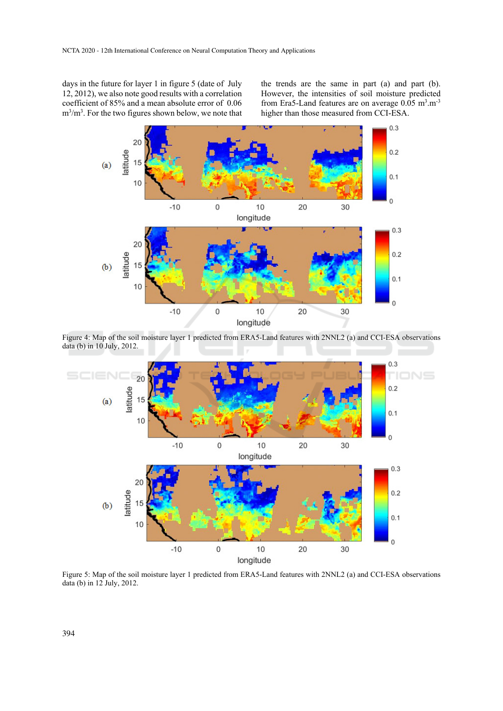days in the future for layer 1 in figure 5 (date of July 12, 2012), we also note good results with a correlation coefficient of 85% and a mean absolute error of 0.06  $m<sup>3</sup>/m<sup>3</sup>$ . For the two figures shown below, we note that the trends are the same in part (a) and part (b). However, the intensities of soil moisture predicted from Era5-Land features are on average  $0.05 \text{ m}^3 \text{.} \text{m}^{-3}$ higher than those measured from CCI-ESA.



Figure 4: Map of the soil moisture layer 1 predicted from ERA5-Land features with 2NNL2 (a) and CCI-ESA observations data (b) in 10 July, 2012.



Figure 5: Map of the soil moisture layer 1 predicted from ERA5-Land features with 2NNL2 (a) and CCI-ESA observations data (b) in 12 July, 2012.